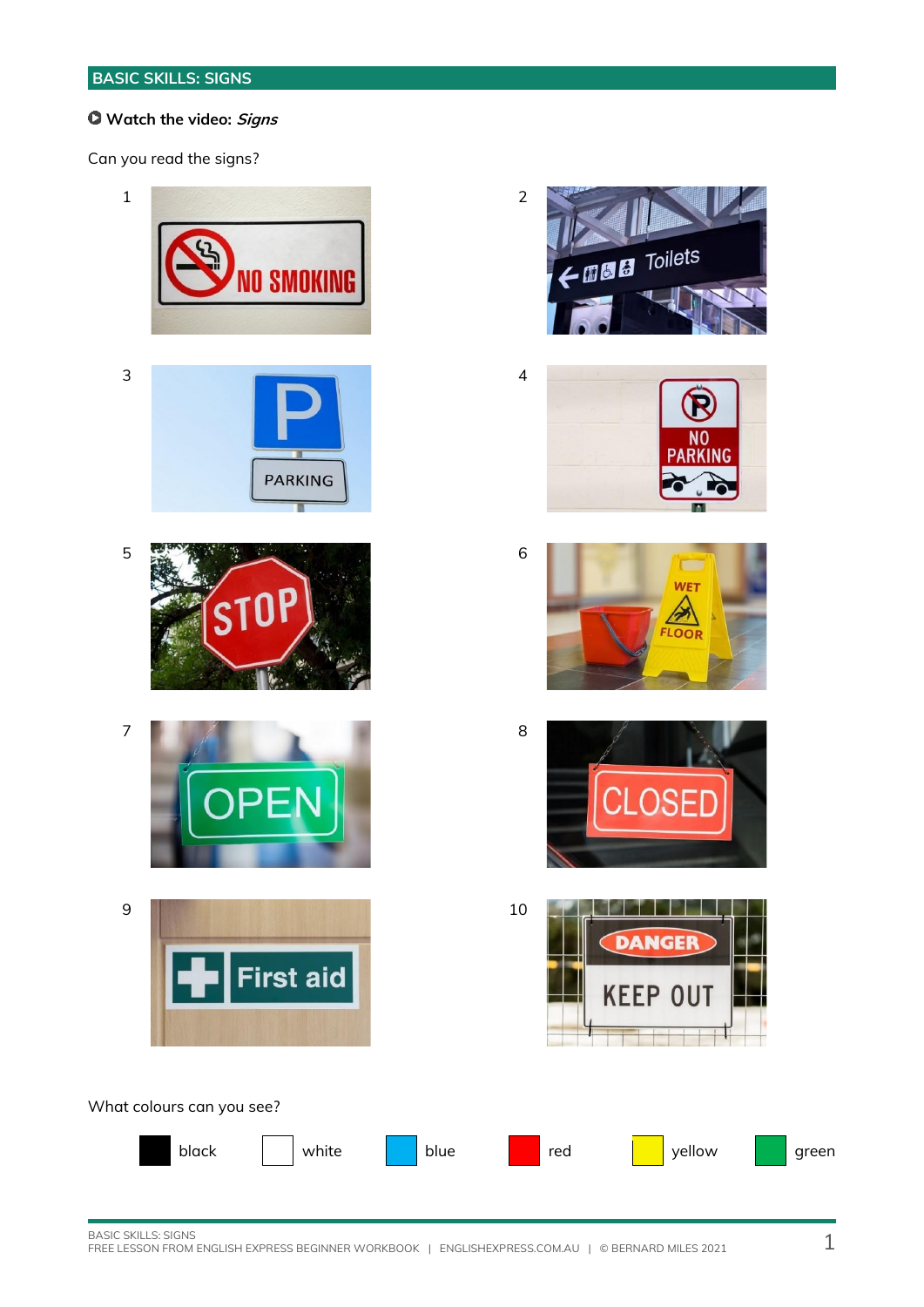#### **Watch the video: Signs**

Can you read the signs?